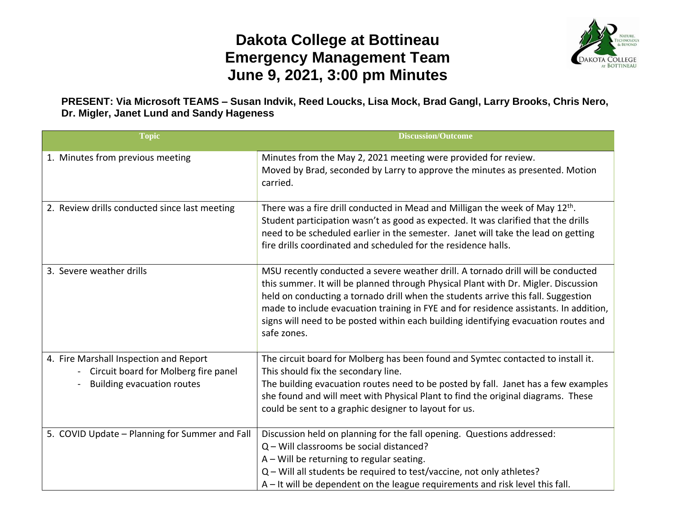## **Dakota College at Bottineau Emergency Management Team June 9, 2021, 3:00 pm Minutes**



## **PRESENT: Via Microsoft TEAMS – Susan Indvik, Reed Loucks, Lisa Mock, Brad Gangl, Larry Brooks, Chris Nero, Dr. Migler, Janet Lund and Sandy Hageness**

| <b>Topic</b>                                                                                                        | <b>Discussion/Outcome</b>                                                                                                                                                                                                                                                                                                                                                                                                                                  |
|---------------------------------------------------------------------------------------------------------------------|------------------------------------------------------------------------------------------------------------------------------------------------------------------------------------------------------------------------------------------------------------------------------------------------------------------------------------------------------------------------------------------------------------------------------------------------------------|
| 1. Minutes from previous meeting                                                                                    | Minutes from the May 2, 2021 meeting were provided for review.<br>Moved by Brad, seconded by Larry to approve the minutes as presented. Motion<br>carried.                                                                                                                                                                                                                                                                                                 |
| 2. Review drills conducted since last meeting                                                                       | There was a fire drill conducted in Mead and Milligan the week of May 12 <sup>th</sup> .<br>Student participation wasn't as good as expected. It was clarified that the drills<br>need to be scheduled earlier in the semester. Janet will take the lead on getting<br>fire drills coordinated and scheduled for the residence halls.                                                                                                                      |
| 3. Severe weather drills                                                                                            | MSU recently conducted a severe weather drill. A tornado drill will be conducted<br>this summer. It will be planned through Physical Plant with Dr. Migler. Discussion<br>held on conducting a tornado drill when the students arrive this fall. Suggestion<br>made to include evacuation training in FYE and for residence assistants. In addition,<br>signs will need to be posted within each building identifying evacuation routes and<br>safe zones. |
| 4. Fire Marshall Inspection and Report<br>Circuit board for Molberg fire panel<br><b>Building evacuation routes</b> | The circuit board for Molberg has been found and Symtec contacted to install it.<br>This should fix the secondary line.<br>The building evacuation routes need to be posted by fall. Janet has a few examples<br>she found and will meet with Physical Plant to find the original diagrams. These<br>could be sent to a graphic designer to layout for us.                                                                                                 |
| 5. COVID Update - Planning for Summer and Fall                                                                      | Discussion held on planning for the fall opening. Questions addressed:<br>$Q$ – Will classrooms be social distanced?<br>$A$ – Will be returning to regular seating.<br>Q - Will all students be required to test/vaccine, not only athletes?<br>A – It will be dependent on the league requirements and risk level this fall.                                                                                                                              |